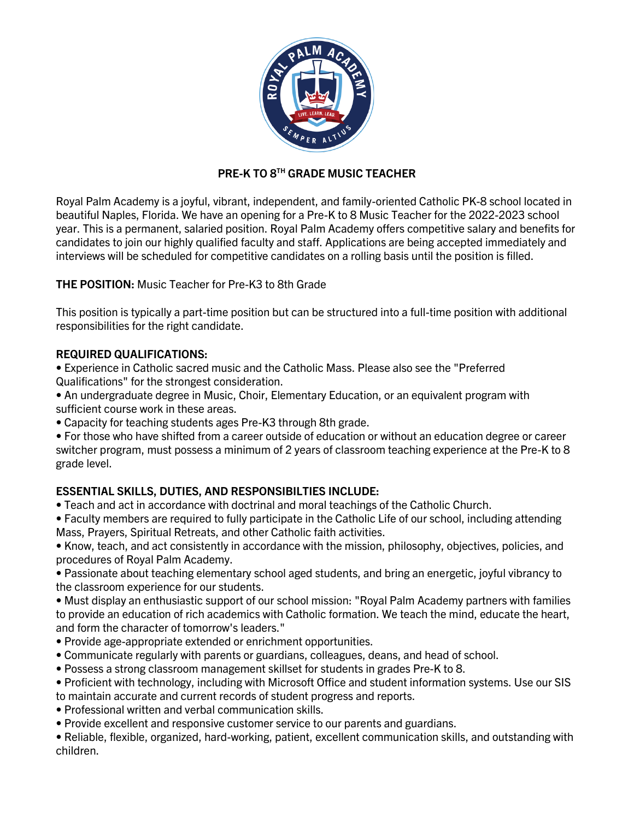

# **PRE-K TO 8TH GRADE MUSIC TEACHER**

Royal Palm Academy is a joyful, vibrant, independent, and family-oriented Catholic PK-8 school located in beautiful Naples, Florida. We have an opening for a Pre-K to 8 Music Teacher for the 2022-2023 school year. This is a permanent, salaried position. Royal Palm Academy offers competitive salary and benefits for candidates to join our highly qualified faculty and staff. Applications are being accepted immediately and interviews will be scheduled for competitive candidates on a rolling basis until the position is filled.

# **THE POSITION:** Music Teacher for Pre-K3 to 8th Grade

This position is typically a part-time position but can be structured into a full-time position with additional responsibilities for the right candidate.

## **REQUIRED QUALIFICATIONS:**

• Experience in Catholic sacred music and the Catholic Mass. Please also see the "Preferred Qualifications" for the strongest consideration.

- An undergraduate degree in Music, Choir, Elementary Education, or an equivalent program with sufficient course work in these areas.
- Capacity for teaching students ages Pre-K3 through 8th grade.

• For those who have shifted from a career outside of education or without an education degree or career switcher program, must possess a minimum of 2 years of classroom teaching experience at the Pre-K to 8 grade level.

# **ESSENTIAL SKILLS, DUTIES, AND RESPONSIBILTIES INCLUDE:**

- Teach and act in accordance with doctrinal and moral teachings of the Catholic Church.
- Faculty members are required to fully participate in the Catholic Life of our school, including attending Mass, Prayers, Spiritual Retreats, and other Catholic faith activities.

• Know, teach, and act consistently in accordance with the mission, philosophy, objectives, policies, and procedures of Royal Palm Academy.

• Passionate about teaching elementary school aged students, and bring an energetic, joyful vibrancy to the classroom experience for our students.

• Must display an enthusiastic support of our school mission: "Royal Palm Academy partners with families to provide an education of rich academics with Catholic formation. We teach the mind, educate the heart, and form the character of tomorrow's leaders."

- Provide age-appropriate extended or enrichment opportunities.
- Communicate regularly with parents or guardians, colleagues, deans, and head of school.
- Possess a strong classroom management skillset for students in grades Pre-K to 8.
- Proficient with technology, including with Microsoft Office and student information systems. Use our SIS to maintain accurate and current records of student progress and reports.
- Professional written and verbal communication skills.
- Provide excellent and responsive customer service to our parents and guardians.

• Reliable, flexible, organized, hard-working, patient, excellent communication skills, and outstanding with children.